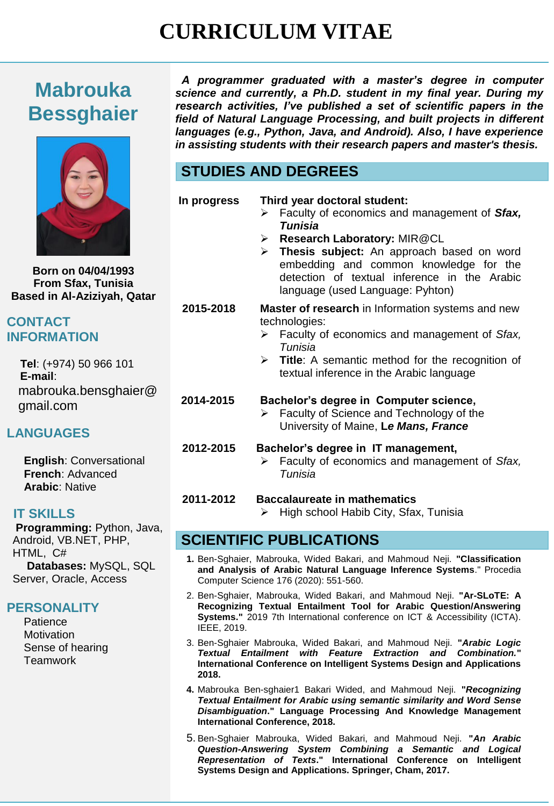# **CURRICULUM VITAE**

# **Mabrouka Bessghaier**



**Born on 04/04/1993 From Sfax, Tunisia Based in Al-Aziziyah, Qatar**

#### **CONTACT INFORMATION**

 **Tel**: (+974) 50 966 101  **E-mail**: mabrouka.bensghaier@ gmail.com

## **LANGUAGES**

**English**: Conversational **French**: Advanced **Arabic**: Native

#### **IT SKILLS**

**Programming:** Python, Java, Android, VB.NET, PHP, HTML, C# **Databases:** MySQL, SQL Server, Oracle, Access

#### **PERSONALITY**

**Patience Motivation** Sense of hearing **Teamwork** 

 *A programmer graduated with a master's degree in computer science and currently, a Ph.D. student in my final year. During my research activities, I've published a set of scientific papers in the field of Natural Language Processing, and built projects in different languages (e.g., Python, Java, and Android). Also, I have experience in assisting students with their research papers and master's thesis.*

# **STUDIES AND DEGREES**

| In progress |  |
|-------------|--|
|-------------|--|

- **In progress Third year doctoral student:**
	- Faculty of economics and management of *Sfax, Tunisia*
	- **Research Laboratory:** MIR@CL
	- **Thesis subject:** An approach based on word embedding and common knowledge for the detection of textual inference in the Arabic language (used Language: Pyhton)

**2015-2018 Master of research** in Information systems and new technologies:

- Faculty of economics and management of *Sfax, Tunisia*
- **Title:** A semantic method for the recognition of textual inference in the Arabic language

#### **2014-2015 Bachelor's degree in Computer science,**

- $\triangleright$  Faculty of Science and Technology of the University of Maine, **L***e Mans, France*
- **2012-2015 Bachelor's degree in IT management,**
	- Faculty of economics and management of *Sfax, Tunisia*

#### **2011-2012 Baccalaureate in mathematics**

 $\triangleright$  High school Habib City, Sfax, Tunisia

## **SCIENTIFIC PUBLICATIONS**

- **1.** Ben-Sghaier, Mabrouka, Wided Bakari, and Mahmoud Neji. **"Classification and Analysis of Arabic Natural Language Inference Systems**." Procedia Computer Science 176 (2020): 551-560.
- 2. Ben-Sghaier, Mabrouka, Wided Bakari, and Mahmoud Neji. **"Ar-SLoTE: A Recognizing Textual Entailment Tool for Arabic Question/Answering Systems."** 2019 7th International conference on ICT & Accessibility (ICTA). IEEE, 2019.
- 3. Ben-Sghaier Mabrouka, Wided Bakari, and Mahmoud Neji. **"***Arabic Logic Textual Entailment with Feature Extraction and Combination.***" International Conference on Intelligent Systems Design and Applications 2018.**
- **4.** Mabrouka Ben-sghaier1 Bakari Wided, and Mahmoud Neji. **"***Recognizing Textual Entailment for Arabic using semantic similarity and Word Sense Disambiguation***." Language Processing And Knowledge Management International Conference, 2018.**
- 5. Ben-Sghaier Mabrouka, Wided Bakari, and Mahmoud Neji. **"***An Arabic Question-Answering System Combining a Semantic and Logical Representation of Texts***." International Conference on Intelligent Systems Design and Applications. Springer, Cham, 2017.**